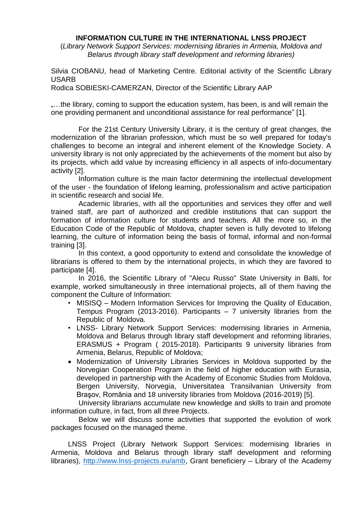### **INFORMATION CULTURE IN THE INTERNATIONAL LNSS PROJECT**

(*Library Network Support Services: modernising libraries in Armenia, Moldova and Belarus through library staff development and reforming libraries)*

Silvia CIOBANU, head of Marketing Centre. Editorial activity of the Scientific Library USARB

Rodica SOBIESKI-CAMERZAN, Director of the Scientific Library AAP

....the library, coming to support the education system, has been, is and will remain the one providing permanent and unconditional assistance for real performance" [1].

For the 21st Century University Library, it is the century of great changes, the modernization of the librarian profession, which must be so well prepared for today's challenges to become an integral and inherent element of the Knowledge Society. A university library is not only appreciated by the achievements of the moment but also by its projects, which add value by increasing efficiency in all aspects of info-documentary activity [2].

Information culture is the main factor determining the intellectual development of the user - the foundation of lifelong learning, professionalism and active participation in scientific research and social life.

Academic libraries, with all the opportunities and services they offer and well trained staff, are part of authorized and credible institutions that can support the formation of information culture for students and teachers. All the more so, in the Education Code of the Republic of Moldova, chapter seven is fully devoted to lifelong learning, the culture of information being the basis of formal, informal and non-formal training [3].

In this context, a good opportunity to extend and consolidate the knowledge of librarians is offered to them by the international projects, in which they are favored to participate [4].

In 2016, the Scientific Library of "Alecu Russo" State University in Balti, for example, worked simultaneously in three international projects, all of them having the component the Culture of Information:

- MISISQ Modern Information Services for Improving the Quality of Education, Tempus Program (2013-2016). Participants – 7 university libraries from the Republic of Moldova.
- LNSS- Library Network Support Services: modernising libraries in Armenia, Moldova and Belarus through library staff development and reforming libraries, ERASMUS + Program ( 2015-2018). Participants 9 university libraries from Armenia, Belarus, Republic of Moldova;
- Modernization of University Libraries Services in Moldova supported by the Norvegian Cooperation Program in the field of higher education with Eurasia, developed in partnership with the Academy of Economic Studies from Moldova, Bergen University, Norvegia, Universitatea Transilvanian University from Braşov, România and 18 university libraries from Moldova (2016-2019) [5].

University librarians accumulate new knowledge and skills to train and promote information culture, in fact, from all three Projects.

Below we will discuss some activities that supported the evolution of work packages focused on the managed theme.

LNSS Project (Library Network Support Services: modernising libraries in Armenia, Moldova and Belarus through library staff development and reforming libraries), [http://www.lnss-projects.eu/amb,](http://www.lnss-projects.eu/amb) Grant beneficiery – Library of the Academy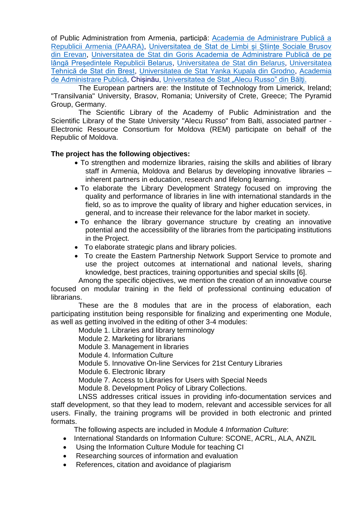of Public Administration from Armenia, participă: [Academia de Administrare Publică a](http://paara.am/en/lnss-project/)  [Republicii Armenia \(PAARA\),](http://paara.am/en/lnss-project/) [Universitatea de Stat de Limbi și Științe Sociale Brusov](http://brusov.am/en/student-life/evs/capacity-building-higher-education-projects/lnss)  [din Erevan,](http://brusov.am/en/student-life/evs/capacity-building-higher-education-projects/lnss) Universitatea [de Stat din Goris](http://studyinarmenia.org/library) [Academia de Administrare Publică de pe](http://www.pac.by/ru/biblioteka/erasmus)  lângă Presedintele Republicii Belarus, [Universitatea de Stat din Belarus,](http://www.bsu.by/en/main.aspx) Universitatea [Tehnică de Stat din Brest,](http://en.bstu.by/index.php/en/international/projects-2/library-network-support-services-lnss) [Universitatea de Stat Yanka Kupala din Grodno,](http://grsu.by/index.php?option=com_k2&view=item&id=15863:servisy-po-podderzhke-bibliotechnoj-seti-modernizatsii-bibliotek-armenii-moldovy-i-belarusi-putem-razvitiya-bibliotechnykh-kadrov-i-reformirovaniya-bibliotek&Itemid=489&lang=ru) [Academia](http://www.aap.gov.md/biblioteca/article/library-network-support-services-lnss)  [de Administrare Publică,](http://www.aap.gov.md/biblioteca/article/library-network-support-services-lnss) Chisinău, Universitatea de Stat "Alecu Russo" din Bălți.

The European partners are: the Institute of Technology from Limerick, Ireland; "Transilvania" University, Brasov, Romania; University of Crete, Greece; The Pyramid Group, Germany.

The Scientific Library of the Academy of Public Administration and the Scientific Library of the State University "Alecu Russo" from Balti, associated partner - Electronic Resource Consortium for Moldova (REM) participate on behalf of the Republic of Moldova.

# **The project has the following objectives:**

- To strengthen and modernize libraries, raising the skills and abilities of library staff in Armenia, Moldova and Belarus by developing innovative libraries – inherent partners in education, research and lifelong learning.
- To elaborate the Library Development Strategy focused on improving the quality and performance of libraries in line with international standards in the field, so as to improve the quality of library and higher education services, in general, and to increase their relevance for the labor market in society.
- To enhance the library governance structure by creating an innovative potential and the accessibility of the libraries from the participating institutions in the Project.
- To elaborate strategic plans and library policies.
- To create the Eastern Partnership Network Support Service to promote and use the project outcomes at international and national levels, sharing knowledge, best practices, training opportunities and special skills [6].

Among the specific objectives, we mention the creation of an innovative course focused on modular training in the field of professional continuing education of librarians.

These are the 8 modules that are in the process of elaboration, each participating institution being responsible for finalizing and experimenting one Module, as well as getting involved in the editing of other 3-4 modules:

Module 1. Libraries and library terminology

Module 2. Marketing for librarians

Module 3. Management in libraries

Module 4. Information Culture

Module 5. Innovative On-line Services for 21st Century Libraries

Module 6. Electronic library

Module 7. Access to Libraries for Users with Special Needs

Module 8. Development Policy of Library Collections.

LNSS addresses critical issues in providing info-documentation services and staff development, so that they lead to modern, relevant and accessible services for all users. Finally, the training programs will be provided in both electronic and printed formats.

The following aspects are included in Module 4 *Information Culture*:

- International Standards on Information Culture: SCONE, ACRL, ALA, ANZIL
- Using the Information Culture Module for teaching CI
- Researching sources of information and evaluation
- References, citation and avoidance of plagiarism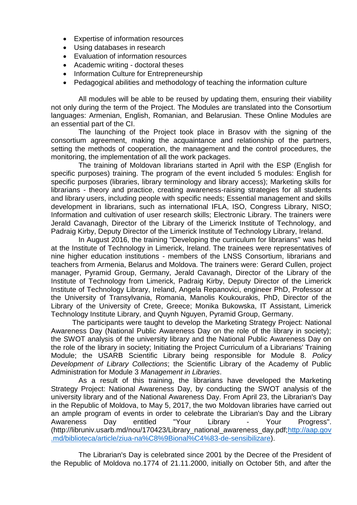- Expertise of information resources
- Using databases in research
- Evaluation of information resources
- Academic writing doctoral theses
- Information Culture for Entrepreneurship
- Pedagogical abilities and methodology of teaching the information culture

All modules will be able to be reused by updating them, ensuring their viability not only during the term of the Project. The Modules are translated into the Consortium languages: Armenian, English, Romanian, and Belarusian. These Online Modules are an essential part of the CI.

The launching of the Project took place in Brasov with the signing of the consortium agreement, making the acquaintance and relationship of the partners, setting the methods of cooperation, the management and the control procedures, the monitoring, the implementation of all the work packages.

The training of Moldovan librarians started in April with the ESP (English for specific purposes) training. The program of the event included 5 modules: English for specific purposes (libraries, library terminology and library access); Marketing skills for librarians - theory and practice, creating awareness-raising strategies for all students and library users, including people with specific needs; Essential management and skills development in librarians, such as international IFLA, ISO, Congress Library, NISO; Information and cultivation of user research skills; Electronic Library. The trainers were Jerald Cavanagh, Director of the Library of the Limerick Institute of Technology, and Padraig Kirby, Deputy Director of the Limerick Institute of Technology Library, Ireland.

In August 2016, the training "Developing the curriculum for librarians" was held at the Institute of Technology in Limerick, Ireland. The trainees were representatives of nine higher education institutions - members of the LNSS Consortium, librarians and teachers from Armenia, Belarus and Moldova. The trainers were: Gerard Cullen, project manager, Pyramid Group, Germany, Jerald Cavanagh, Director of the Library of the Institute of Technology from Limerick, Padraig Kirby, Deputy Director of the Limerick Institute of Technology Library, Ireland, Angela Repanovici, engineer PhD, Professor at the University of Transylvania, Romania, Manolis Koukourakis, PhD, Director of the Library of the University of Crete, Greece; Monika Bukowska, IT Assistant, Limerick Technology Institute Library, and Quynh Nguyen, Pyramid Group, Germany.

The participants were taught to develop the Marketing Strategy Project: National Awareness Day (National Public Awareness Day on the role of the library in society); the SWOT analysis of the university library and the National Public Awareness Day on the role of the library in society; Initiating the Project Curriculum of a Librarians' Training Module; the USARB Scientific Library being responsible for Module 8. *Policy Development of Library Collections*; the Scientific Library of the Academy of Public Administration for Module 3 *Management in Libraries*.

As a result of this training, the librarians have developed the Marketing Strategy Project: National Awareness Day, by conducting the SWOT analysis of the university library and of the National Awareness Day. From April 23, the Librarian's Day in the Republic of Moldova, to May 5, 2017, the two Moldovan libraries have carried out an ample program of events in order to celebrate the Librarian's Day and the Library Awareness Day entitled "Your Library - Your Progress". (http://libruniv.usarb.md/nou/170423/Library\_national\_awareness\_day.pdf[;http://aap.gov](http://aap.gov.md/biblioteca/article/ziua-na%C8%9Bional%C4%83-de-sensibilizare) [.md/biblioteca/article/ziua-na%C8%9Bional%C4%83-de-sensibilizare\)](http://aap.gov.md/biblioteca/article/ziua-na%C8%9Bional%C4%83-de-sensibilizare).

The Librarian's Day is celebrated since 2001 by the Decree of the President of the Republic of Moldova no.1774 of 21.11.2000, initially on October 5th, and after the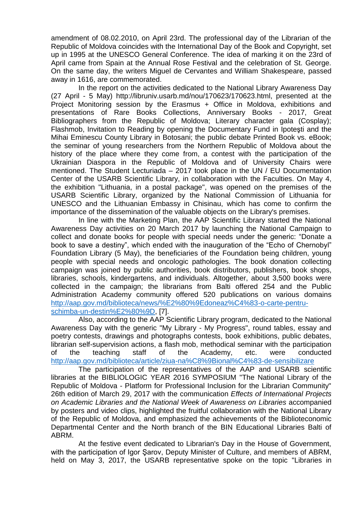amendment of 08.02.2010, on April 23rd. The professional day of the Librarian of the Republic of Moldova coincides with the International Day of the Book and Copyright, set up in 1995 at the UNESCO General Conference. The idea of marking it on the 23rd of April came from Spain at the Annual Rose Festival and the celebration of St. George. On the same day, the writers Miguel de Cervantes and William Shakespeare, passed away in 1616, are commemorated.

In the report on the activities dedicated to the National Library Awareness Day (27 April - 5 May) http://libruniv.usarb.md/nou/170623/170623.html, presented at the Project Monitoring session by the Erasmus + Office in Moldova, exhibitions and presentations of Rare Books Collections, Anniversary Books - 2017, Great Bibliographers from the Republic of Moldova; Literary character gala (Cosplay); Flashmob, Invitation to Reading by opening the Documentary Fund in Ipoteşti and the Mihai Eminescu County Library in Botosani; the public debate Printed Book vs. eBook; the seminar of young researchers from the Northern Republic of Moldova about the history of the place where they come from, a contest with the participation of the Ukrainian Diaspora in the Republic of Moldova and of University Chairs were mentioned. The Student Lecturiada – 2017 took place in the UN / EU Documentation Center of the USARB Scientific Library, in collaboration with the Faculties. On May 4, the exhibition "Lithuania, in a postal package", was opened on the premises of the USARB Scientific Library, organized by the National Commission of Lithuania for UNESCO and the Lithuanian Embassy in Chisinau, which has come to confirm the importance of the dissemination of the valuable objects on the Library's premises.

In line with the Marketing Plan, the AAP Scientific Library started the National Awareness Day activities on 20 March 2017 by launching the National Campaign to collect and donate books for people with special needs under the generic: "Donate a book to save a destiny", which ended with the inauguration of the "Echo of Chernobyl" Foundation Library (5 May), the beneficiaries of the Foundation being children, young people with special needs and oncologic pathologies. The book donation collecting campaign was joined by public authorities, book distributors, publishers, book shops, libraries, schools, kindergartens, and individuals. Altogether, about 3,500 books were collected in the campaign; the librarians from Balti offered 254 and the Public Administration Academy community offered 520 publications on various domains [http://aap.gov.md/biblioteca/news/%E2%80%9Edoneaz%C4%83-o-carte-pentru](http://aap.gov.md/biblioteca/news/%E2%80%9Edoneaz%C4%83-o-carte-pentru-schimba-un-destin%E2%80%9D)[schimba-un-destin%E2%80%9D,](http://aap.gov.md/biblioteca/news/%E2%80%9Edoneaz%C4%83-o-carte-pentru-schimba-un-destin%E2%80%9D) [7].

Also, according to the AAP Scientific Library program, dedicated to the National Awareness Day with the generic "My Library - My Progress", round tables, essay and poetry contests, drawings and photographs contests, book exhibitions, public debates, librarian self-supervision actions, a flash mob, methodical seminar with the participation of the teaching staff of the Academy, etc. were conducted <http://aap.gov.md/biblioteca/article/ziua-na%C8%9Bional%C4%83-de-sensibilizare>

The participation of the representatives of the AAP and USARB scientific libraries at the BIBLIOLOGIC YEAR 2016 SYMPOSIUM "The National Library of the Republic of Moldova - Platform for Professional Inclusion for the Librarian Community" 26th edition of March 29, 2017 with the communication *Effects of International Projects on Academic Libraries and the National Week of Awareness on Libraries* accompanied by posters and video clips, highlighted the fruitful collaboration with the National Library of the Republic of Moldova, and emphasized the achievements of the Biblioteconomic Departmental Center and the North branch of the BIN Educational Libraries Balti of ABRM.

At the festive event dedicated to Librarian's Day in the House of Government, with the participation of Igor Şarov, Deputy Minister of Culture, and members of ABRM, held on May 3, 2017, the USARB representative spoke on the topic "Libraries in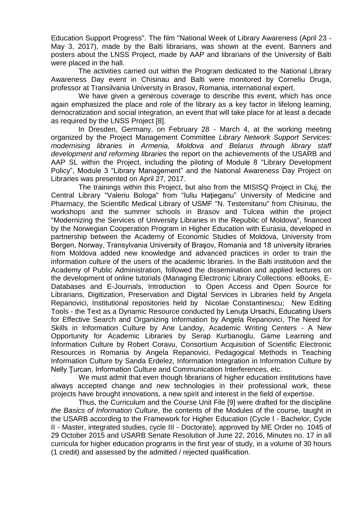Education Support Progress". The film "National Week of Library Awareness (April 23 - May 3, 2017), made by the Balti librarians, was shown at the event. Banners and posters about the LNSS Project, made by AAP and librarians of the University of Balti were placed in the hall.

The activities carried out within the Program dedicated to the National Library Awareness Day event in Chisinau and Balti were monitored by Corneliu Druga, professor at Transilvania University in Brasov, Romania, international expert.

We have given a generous coverage to describe this event, which has once again emphasized the place and role of the library as a key factor in lifelong learning, democratization and social integration, an event that will take place for at least a decade as required by the LNSS Project [8].

In Dresden, Germany, on February 28 - March 4, at the working meeting organized by the Project Management Committee *Library Network Support Services: modernising libraries in Armenia, Moldova and Belarus through library staff development and reforming libraries* the report on the achievements of the USARB and AAP SL within the Project, including the piloting of Module 8 "Library Development Policy", Module 3 "Library Management" and the National Awareness Day Project on Libraries was presented on April 27, 2017.

The trainings within this Project, but also from the MISISQ Project in Cluj, the Central Library "Valeriu Bologa" from "Iuliu Haţieganu" University of Medicine and Pharmacy, the Scientific Medical Library of USMF "N. Testemitanu" from Chisinau, the workshops and the summer schools in Brasov and Tulcea within the project "Modernizing the Services of University Libraries in the Republic of Moldova", financed by the Norwegian Cooperation Program in Higher Education with Eurasia, developed in partnership between the Academy of Economic Studies of Moldova, University from Bergen, Norway, Transylvania University of Braşov, Romania and 18 university libraries from Moldova added new knowledge and advanced practices in order to train the information culture of the users of the academic libraries. In the Balti institution and the Academy of Public Administration, followed the dissemination and applied lectures on the development of online tutorials (Managing Electronic Library Collections: eBooks, E-Databases and E-Journals, Introduction to Open Access and Open Source for Librarians, Digitization, Preservation and Digital Services in Libraries held by Angela Repanovici, Institutional repositories held by Nicolae Constantinescu; New Editing Tools - the Text as a Dynamic Resource conducted by Lenuta Ursachi, Educating Users for Effective Search and Organizing Information by Angela Repanovici, The Need for Skills in Information Culture by Ane Landoy, Academic Writing Centers - A New Opportunity for Academic Libraries by Serap Kurbanoglu, Game Learning and Information Culture by Robert Coravu, Consortium Acquisition of Scientific Electronic Resources in Romania by Angela Repanovici, Pedagogical Methods in Teaching Information Culture by Sanda Erdelez, Information Integration in Information Culture by Nelly Ţurcan, Information Culture and Communication Interferences, etc.

We must admit that even though librarians of higher education institutions have always accepted change and new technologies in their professional work, these projects have brought innovations, a new spirit and interest in the field of expertise.

Thus, the Curriculum and the Course Unit File [9] were drafted for the discipline *the Basics of Information Culture*, the contents of the Modules of the course, taught in the USARB according to the Framework for Higher Education (Cycle I - Bachelor, Cycle II - Master, integrated studies, cycle III - Doctorate), approved by ME Order no. 1045 of 29 October 2015 and USARB Senate Resolution of June 22, 2016, Minutes no. 17 in all curricula for higher education programs in the first year of study, in a volume of 30 hours (1 credit) and assessed by the admitted / rejected qualification.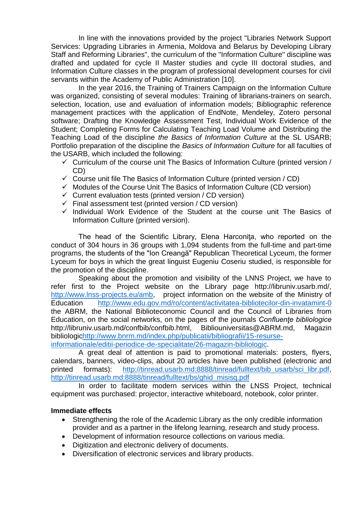In line with the innovations provided by the project "Libraries Network Support Services: Upgrading Libraries in Armenia, Moldova and Belarus by Developing Library Staff and Reforming Libraries", the curriculum of the "Information Culture" discipline was drafted and updated for cycle II Master studies and cycle III doctoral studies, and Information Culture classes in the program of professional development courses for civil servants within the Academy of Public Administration [10].

In the year 2016, the Training of Trainers Campaign on the Information Culture was organized, consisting of several modules: Training of librarians-trainers on search, selection, location, use and evaluation of information models; Bibliographic reference management practices with the application of EndNote, Mendeley, Zotero personal software; Drafting the Knowledge Assessment Test, Individual Work Evidence of the Student; Completing Forms for Calculating Teaching Load Volume and Distributing the Teaching Load of the discipline *the Basics of Information Culture* at the SL USARB; Portfolio preparation of the discipline the *Basics of Information Culture* for all faculties of the USARB, which included the following:

- $\checkmark$  Curriculum of the course unit The Basics of Information Culture (printed version / CD)
- $\checkmark$  Course unit file The Basics of Information Culture (printed version / CD)
- $\checkmark$  Modules of the Course Unit The Basics of Information Culture (CD version)
- $\checkmark$  Current evaluation tests (printed version / CD version)
- $\checkmark$  Final assessment test (printed version / CD version)
- $\checkmark$  Individual Work Evidence of the Student at the course unit The Basics of Information Culture (printed version).

The head of the Scientific Library, Elena Harconita, who reported on the conduct of 304 hours in 36 groups with 1,094 students from the full-time and part-time programs, the students of the "Ion Creangă" Republican Theoretical Lyceum, the former Lyceum for boys in which the great linguist Eugeniu Coseriu studied, is responsible for the promotion of the discipline.

Speaking about the promotion and visibility of the LNNS Project, we have to refer first to the Project website on the Library page http://libruniv.usarb.md/, [http://www.lnss-projects.eu/amb,](http://www.lnss-projects.eu/amb) project information on the website of the Ministry of Education <http://www.edu.gov.md/ro/content/activitatea-bibliotecilor-din-invatamint-0> the ABRM, the National Biblioteconomic Council and the Council of Libraries from Education, on the social networks, on the pages of the journals *Confluenţe bibliologice* http://libruniv.usarb.md/confbib/confbib.html, Bibliouniversitas@ABRM.md, Magazin bibliologi[chttp://www.bnrm.md/index.php/publicatii/bibliografii/15-resurse](http://www.bnrm.md/index.php/publicatii/bibliografii/15-resurse-informationale/editii-periodice-de-specialitate/26-magazin-bibliologic)[informationale/editii-periodice-de-specialitate/26-magazin-bibliologic.](http://www.bnrm.md/index.php/publicatii/bibliografii/15-resurse-informationale/editii-periodice-de-specialitate/26-magazin-bibliologic)

A great deal of attention is paid to promotional materials: posters, flyers, calendars, banners, video-clips, about 20 articles have been published (electronic and printed formats): [http://tinread.usarb.md:8888/tinread/fulltext/bib\\_usarb/sci\\_libr.pdf,](http://tinread.usarb.md:8888/tinread/fulltext/bib_usarb/sci_libr.pdf) [http://tinread.usarb.md:8888/tinread/fulltext/bs/ghid\\_misisq.pdf](http://tinread.usarb.md:8888/tinread/fulltext/bs/ghid_misisq.pdf)

In order to facilitate modern services within the LNSS Project, technical equipment was purchased: projector, interactive whiteboard, notebook, color printer.

### **Immediate effects**

- Strengthening the role of the Academic Library as the only credible information provider and as a partner in the lifelong learning, research and study process.
- Development of information resource collections on various media.
- Digitization and electronic delivery of documents.
- Diversification of electronic services and library products.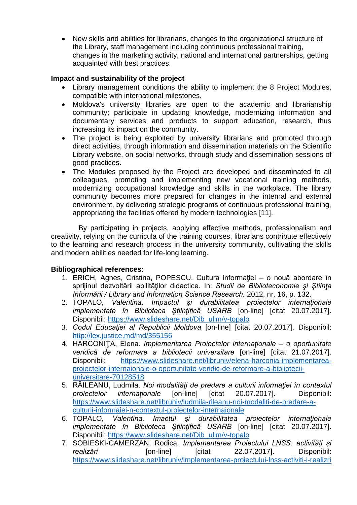New skills and abilities for librarians, changes to the organizational structure of the Library, staff management including continuous professional training, changes in the marketing activity, national and international partnerships, getting acquainted with best practices.

### **Impact and sustainability of the project**

- Library management conditions the ability to implement the 8 Project Modules, compatible with international milestones.
- Moldova's university libraries are open to the academic and librarianship community; participate in updating knowledge, modernizing information and documentary services and products to support education, research, thus increasing its impact on the community.
- The project is being exploited by university librarians and promoted through direct activities, through information and dissemination materials on the Scientific Library website, on social networks, through study and dissemination sessions of good practices.
- The Modules proposed by the Project are developed and disseminated to all colleagues, promoting and implementing new vocational training methods, modernizing occupational knowledge and skills in the workplace. The library community becomes more prepared for changes in the internal and external environment, by delivering strategic programs of continuous professional training, appropriating the facilities offered by modern technologies [11].

By participating in projects, applying effective methods, professionalism and creativity, relying on the curricula of the training courses, librarians contribute effectively to the learning and research process in the university community, cultivating the skills and modern abilities needed for life-long learning.

# **Bibliographical references:**

- 1. ERICH, Agnes, Cristina, POPESCU. Cultura informaţiei o nouă abordare în sprijinul dezvoltării abilităţilor didactice. In: *Studii de Biblioteconomie şi Ştiinţa Informării / Library and Information Science Research.* 2012, nr. 16, p. 132.
- 2. TOPALO, *Valentina. Impactul şi durabilitatea proiectelor internaţionale implementate în Biblioteca Ştiinţifică USARB* [on-line] [citat 20.07.2017]. Disponibil: [https://www.slideshare.net/Dib\\_ulim/v-topalo](https://www.slideshare.net/Dib_ulim/v-topalo)
- 3. *Codul Educaţiei al Republicii Moldova* [on-line] [citat 20.07.2017]. Disponibil: <http://lex.justice.md/md/355156>
- 4. HARCONIŢA, Elena. *Implementarea Proiectelor internaţionale – o oportunitate veridică de reformare a bibliotecii universitare* [on-line] [citat 21.07.2017]. Disponibil: [https://www.slideshare.net/libruniv/elena-harconia-implementarea](https://www.slideshare.net/libruniv/elena-harconia-implementarea-proiectelor-internaionale-o-oportunitate-veridic-de-reformare-a-bibliotecii-universitare-70128518)[proiectelor-internaionale-o-oportunitate-veridic-de-reformare-a-bibliotecii](https://www.slideshare.net/libruniv/elena-harconia-implementarea-proiectelor-internaionale-o-oportunitate-veridic-de-reformare-a-bibliotecii-universitare-70128518)[universitare-70128518](https://www.slideshare.net/libruniv/elena-harconia-implementarea-proiectelor-internaionale-o-oportunitate-veridic-de-reformare-a-bibliotecii-universitare-70128518)
- 5. RĂILEANU, Ludmila. *Noi modalităţi de predare a culturii informaţiei în contextul proiectelor internaţionale* [on-line] [citat 20.07.2017]. Disponibil: [https://www.slideshare.net/libruniv/ludmila-rileanu-noi-modaliti-de-predare-a](https://www.slideshare.net/libruniv/ludmila-rileanu-noi-modaliti-de-predare-a-culturii-informaiei-n-contextul-proiectelor-internaionale)[culturii-informaiei-n-contextul-proiectelor-internaionale](https://www.slideshare.net/libruniv/ludmila-rileanu-noi-modaliti-de-predare-a-culturii-informaiei-n-contextul-proiectelor-internaionale)
- 6. TOPALO, *Valentina. Imactul şi durabilitatea proiectelor internaţionale implementate în Biblioteca Ştiinţifică USARB* [on-line] [citat 20.07.2017]. Disponibil: [https://www.slideshare.net/Dib\\_ulim/v-topalo](https://www.slideshare.net/Dib_ulim/v-topalo)
- 7. SOBIESKI-CAMERZAN, Rodica. *Implementarea Proiectului LNSS: activități și realizări* [on-line] [citat 22.07.2017]. Disponibil: <https://www.slideshare.net/libruniv/implementarea-proiectului-lnss-activiti-i-realizri>